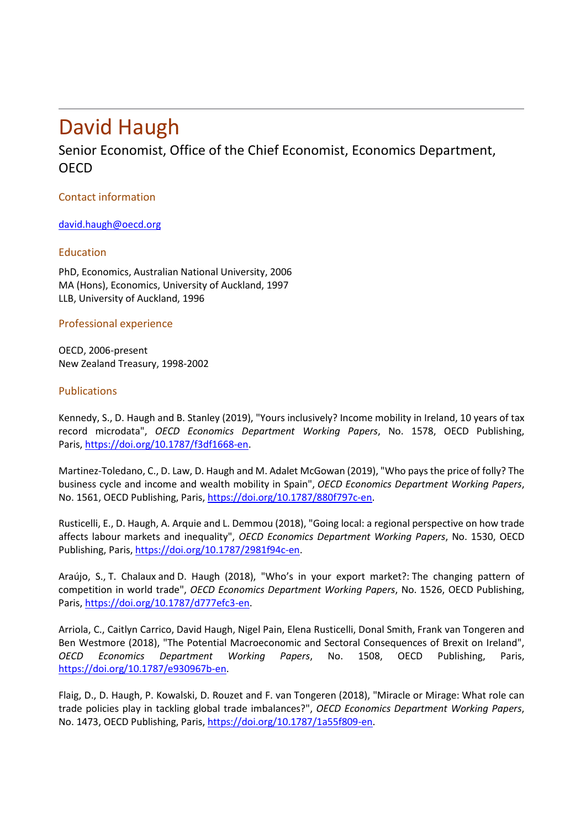# David Haugh

## Senior Economist, Office of the Chief Economist, Economics Department, **OFCD**

### Contact information

[david.haugh@oecd.org](https://portal.oecd.org/eshare/eco/kc/People/CVs%20and%20Bios%20of%20ECO%20staff/david.haugh@oecd.org)

### Education

PhD, Economics, Australian National University, 2006 MA (Hons), Economics, University of Auckland, 1997 LLB, University of Auckland, 1996

Professional experience

OECD, 2006-present New Zealand Treasury, 1998-2002

### Publications

Kennedy, S., D. Haugh and B. Stanley (2019), "Yours inclusively? Income mobility in Ireland, 10 years of tax record microdata", *OECD Economics Department Working Papers*, No. 1578, OECD Publishing, Paris, [https://doi.org/10.1787/f3df1668-en.](https://doi.org/10.1787/f3df1668-en)

Martinez-Toledano, C., D. Law, D. Haugh and M. Adalet McGowan (2019), "Who pays the price of folly? The business cycle and income and wealth mobility in Spain", *OECD Economics Department Working Papers*, No. 1561, OECD Publishing, Paris, [https://doi.org/10.1787/880f797c-en.](https://doi.org/10.1787/880f797c-en)

Rusticelli, E., D. Haugh, A. Arquie and L. Demmou (2018), "Going local: a regional perspective on how trade affects labour markets and inequality", *OECD Economics Department Working Papers*, No. 1530, OECD Publishing, Paris[, https://doi.org/10.1787/2981f94c-en.](https://doi.org/10.1787/2981f94c-en)

Araújo, S., T. Chalaux and D. Haugh (2018), "Who's in your export market?: The changing pattern of competition in world trade", *OECD Economics Department Working Papers*, No. 1526, OECD Publishing, Paris, [https://doi.org/10.1787/d777efc3-en.](https://doi.org/10.1787/d777efc3-en)

Arriola, C., Caitlyn Carrico, David Haugh, Nigel Pain, Elena Rusticelli, Donal Smith, Frank van Tongeren and Ben Westmore (2018), "The Potential Macroeconomic and Sectoral Consequences of Brexit on Ireland", *OECD Economics Department Working Papers*, No. 1508, OECD Publishing, Paris, [https://doi.org/10.1787/e930967b-en.](https://doi.org/10.1787/e930967b-en)

Flaig, D., D. Haugh, P. Kowalski, D. Rouzet and F. van Tongeren (2018), "Miracle or Mirage: What role can trade policies play in tackling global trade imbalances?", *OECD Economics Department Working Papers*, No. 1473, OECD Publishing, Paris, [https://doi.org/10.1787/1a55f809-en.](https://doi.org/10.1787/1a55f809-en)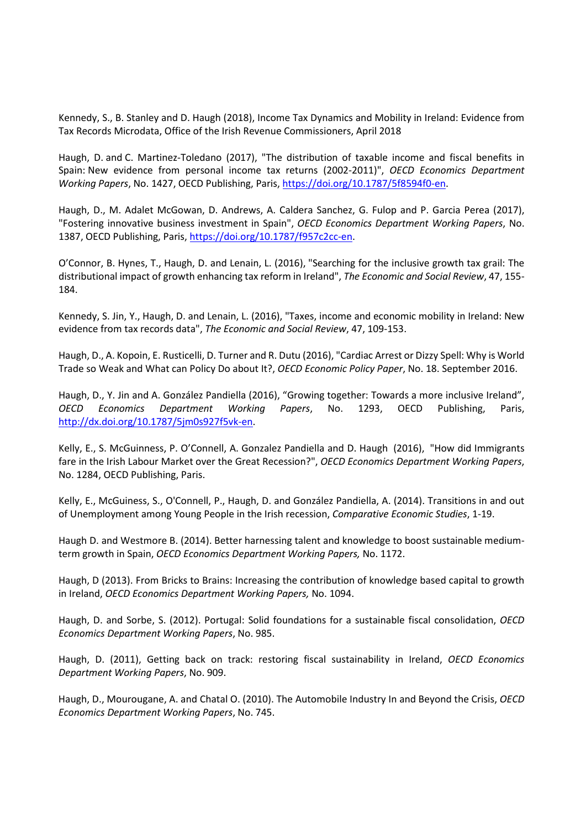Kennedy, S., B. Stanley and D. Haugh (2018), Income Tax Dynamics and Mobility in Ireland: Evidence from Tax Records Microdata, Office of the Irish Revenue Commissioners, April 2018

Haugh, D. and C. Martinez-Toledano (2017), "The distribution of taxable income and fiscal benefits in Spain: New evidence from personal income tax returns (2002-2011)", *OECD Economics Department Working Papers*, No. 1427, OECD Publishing, Paris, [https://doi.org/10.1787/5f8594f0-en.](https://doi.org/10.1787/5f8594f0-en)

Haugh, D., M. Adalet McGowan, D. Andrews, A. Caldera Sanchez, G. Fulop and P. Garcia Perea (2017), "Fostering innovative business investment in Spain", *OECD Economics Department Working Papers*, No. 1387, OECD Publishing, Paris, [https://doi.org/10.1787/f957c2cc-en.](https://doi.org/10.1787/f957c2cc-en)

O'Connor, B. Hynes, T., Haugh, D. and Lenain, L. (2016), "Searching for the inclusive growth tax grail: The distributional impact of growth enhancing tax reform in Ireland", *The Economic and Social Review*, 47, 155- 184.

Kennedy, S. Jin, Y., Haugh, D. and Lenain, L. (2016), "Taxes, income and economic mobility in Ireland: New evidence from tax records data", *The Economic and Social Review*, 47, 109-153.

Haugh, D., A. Kopoin, E. Rusticelli, D. Turner and R. Dutu (2016), "Cardiac Arrest or Dizzy Spell: Why is World Trade so Weak and What can Policy Do about It?, *OECD Economic Policy Paper*, No. 18. September 2016.

Haugh, D., Y. Jin and A. González Pandiella (2016), "Growing together: Towards a more inclusive Ireland", *OECD Economics Department Working Papers*, No. 1293, OECD Publishing, Paris, [http://dx.doi.org/10.1787/5jm0s927f5vk-en.](http://dx.doi.org/10.1787/5jm0s927f5vk-en)

Kelly, E., S. McGuinness, P. O'Connell, A. Gonzalez Pandiella and D. Haugh (2016), "How did Immigrants fare in the Irish Labour Market over the Great Recession?", *OECD Economics Department Working Papers*, No. 1284, OECD Publishing, Paris.

Kelly, E., McGuiness, S., O'Connell, P., Haugh, D. and González Pandiella, A. (2014). Transitions in and out of Unemployment among Young People in the Irish recession, *Comparative Economic Studies*, 1-19.

Haugh D. and Westmore B. (2014). Better harnessing talent and knowledge to boost sustainable mediumterm growth in Spain, *OECD Economics Department Working Papers,* No. 1172.

Haugh, D (2013). From Bricks to Brains: Increasing the contribution of knowledge based capital to growth in Ireland, *OECD Economics Department Working Papers,* No. 1094.

Haugh, D. and Sorbe, S. (2012). Portugal: Solid foundations for a sustainable fiscal consolidation, *OECD Economics Department Working Papers*, No. 985.

Haugh, D. (2011), Getting back on track: restoring fiscal sustainability in Ireland, *OECD Economics Department Working Papers*, No. 909.

Haugh, D., Mourougane, A. and Chatal O. (2010). The Automobile Industry In and Beyond the Crisis, *OECD Economics Department Working Papers*, No. 745.